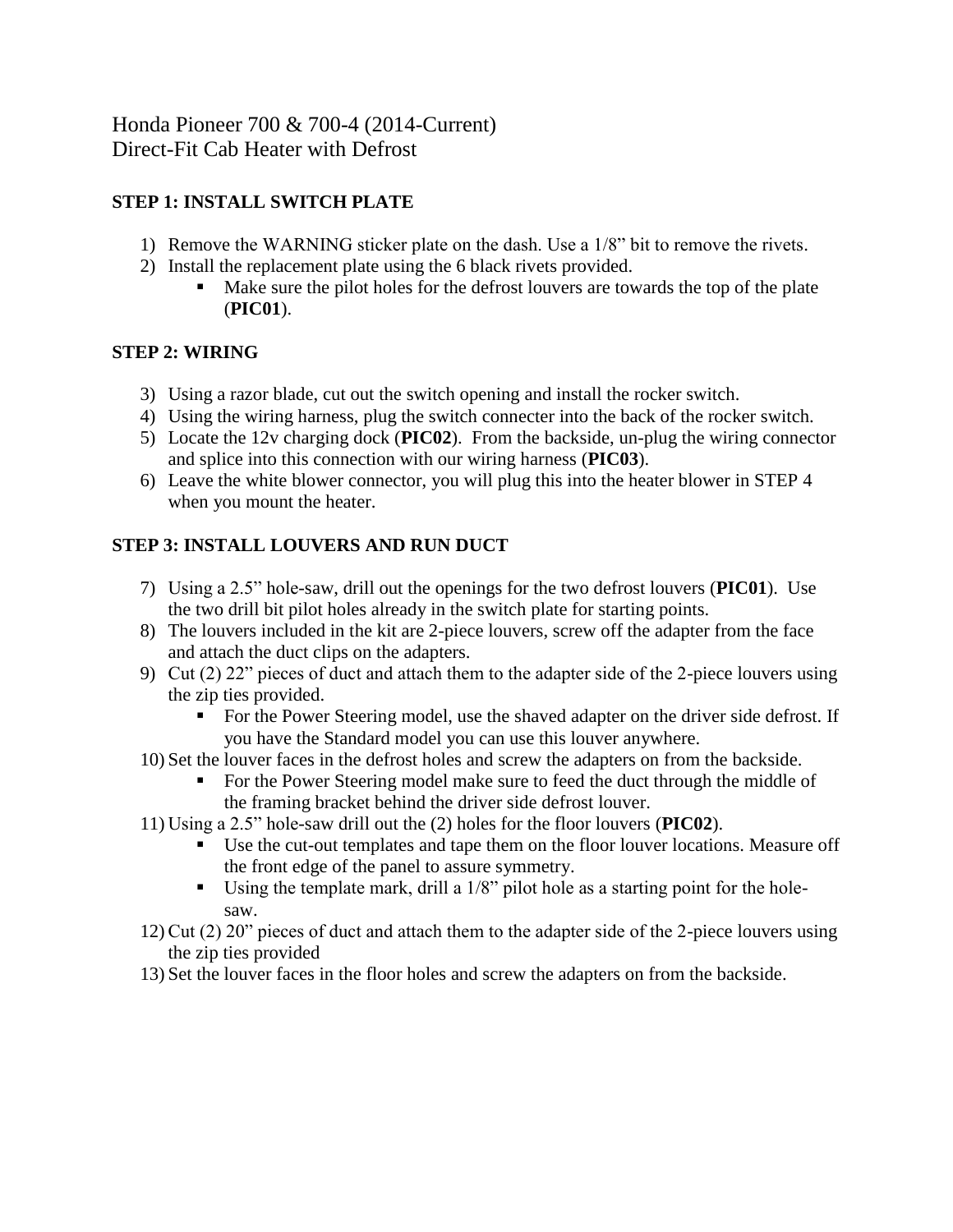Honda Pioneer 700 & 700-4 (2014-Current) Direct-Fit Cab Heater with Defrost

# **STEP 1: INSTALL SWITCH PLATE**

- 1) Remove the WARNING sticker plate on the dash. Use a 1/8" bit to remove the rivets.
- 2) Install the replacement plate using the 6 black rivets provided.
	- Make sure the pilot holes for the defrost louvers are towards the top of the plate (**PIC01**).

## **STEP 2: WIRING**

- 3) Using a razor blade, cut out the switch opening and install the rocker switch.
- 4) Using the wiring harness, plug the switch connecter into the back of the rocker switch.
- 5) Locate the 12v charging dock (**PIC02**). From the backside, un-plug the wiring connector and splice into this connection with our wiring harness (**PIC03**).
- 6) Leave the white blower connector, you will plug this into the heater blower in STEP 4 when you mount the heater.

## **STEP 3: INSTALL LOUVERS AND RUN DUCT**

- 7) Using a 2.5" hole-saw, drill out the openings for the two defrost louvers (**PIC01**). Use the two drill bit pilot holes already in the switch plate for starting points.
- 8) The louvers included in the kit are 2-piece louvers, screw off the adapter from the face and attach the duct clips on the adapters.
- 9) Cut (2) 22" pieces of duct and attach them to the adapter side of the 2-piece louvers using the zip ties provided.
	- For the Power Steering model, use the shaved adapter on the driver side defrost. If you have the Standard model you can use this louver anywhere.
- 10) Set the louver faces in the defrost holes and screw the adapters on from the backside.
	- For the Power Steering model make sure to feed the duct through the middle of the framing bracket behind the driver side defrost louver.
- 11) Using a 2.5" hole-saw drill out the (2) holes for the floor louvers (**PIC02**).
	- Use the cut-out templates and tape them on the floor louver locations. Measure off the front edge of the panel to assure symmetry.
	- Using the template mark, drill a 1/8" pilot hole as a starting point for the holesaw.
- 12)Cut (2) 20" pieces of duct and attach them to the adapter side of the 2-piece louvers using the zip ties provided
- 13) Set the louver faces in the floor holes and screw the adapters on from the backside.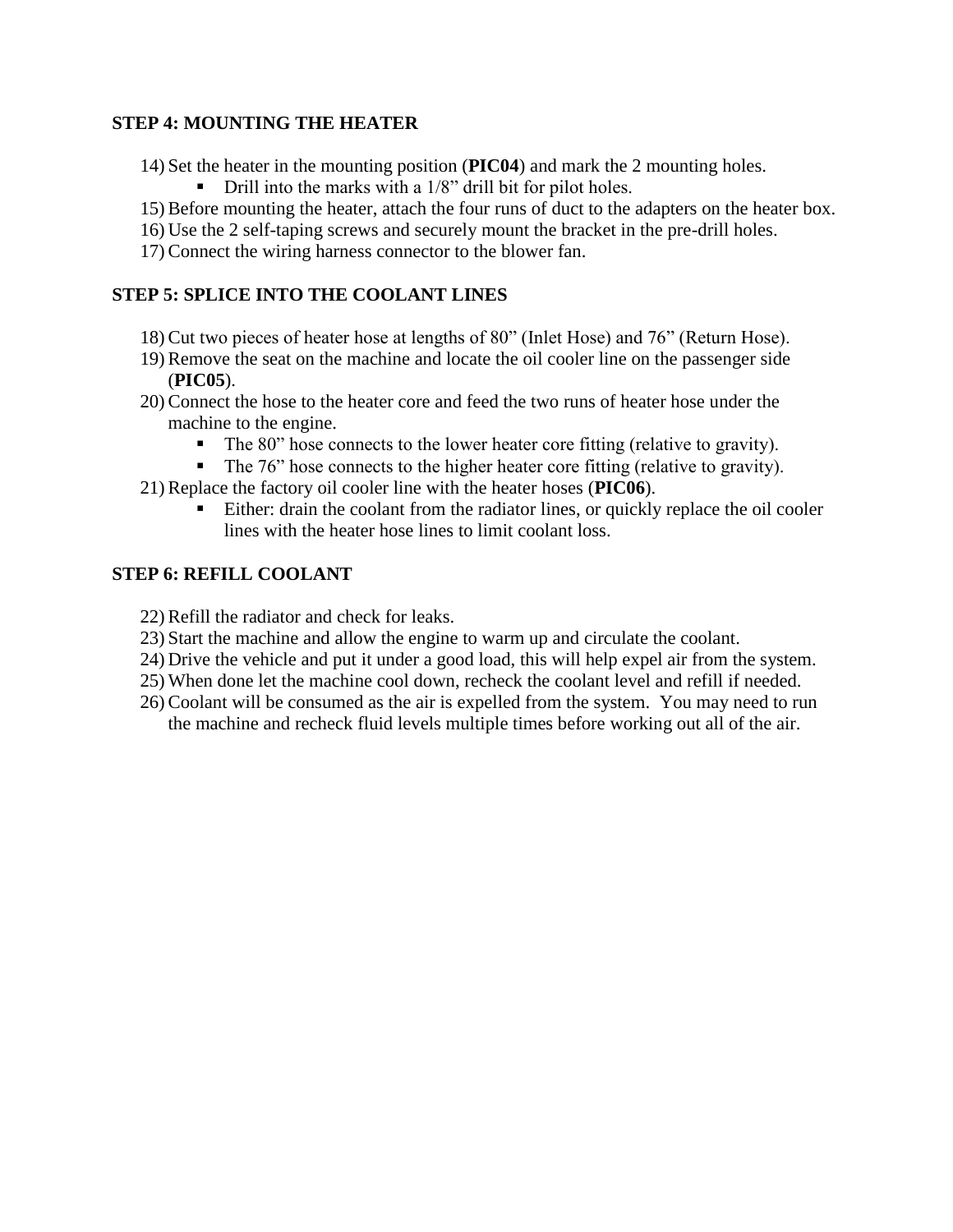### **STEP 4: MOUNTING THE HEATER**

- 14) Set the heater in the mounting position (**PIC04**) and mark the 2 mounting holes.
	- Drill into the marks with a 1/8" drill bit for pilot holes.
- 15)Before mounting the heater, attach the four runs of duct to the adapters on the heater box.
- 16) Use the 2 self-taping screws and securely mount the bracket in the pre-drill holes.
- 17)Connect the wiring harness connector to the blower fan.

# **STEP 5: SPLICE INTO THE COOLANT LINES**

- 18)Cut two pieces of heater hose at lengths of 80" (Inlet Hose) and 76" (Return Hose).
- 19)Remove the seat on the machine and locate the oil cooler line on the passenger side (**PIC05**).
- 20)Connect the hose to the heater core and feed the two runs of heater hose under the machine to the engine.
	- The 80" hose connects to the lower heater core fitting (relative to gravity).
	- The 76" hose connects to the higher heater core fitting (relative to gravity).
- 21)Replace the factory oil cooler line with the heater hoses (**PIC06**).
	- Either: drain the coolant from the radiator lines, or quickly replace the oil cooler lines with the heater hose lines to limit coolant loss.

# **STEP 6: REFILL COOLANT**

- 22)Refill the radiator and check for leaks.
- 23) Start the machine and allow the engine to warm up and circulate the coolant.
- 24) Drive the vehicle and put it under a good load, this will help expel air from the system.
- 25) When done let the machine cool down, recheck the coolant level and refill if needed.
- 26)Coolant will be consumed as the air is expelled from the system. You may need to run the machine and recheck fluid levels multiple times before working out all of the air.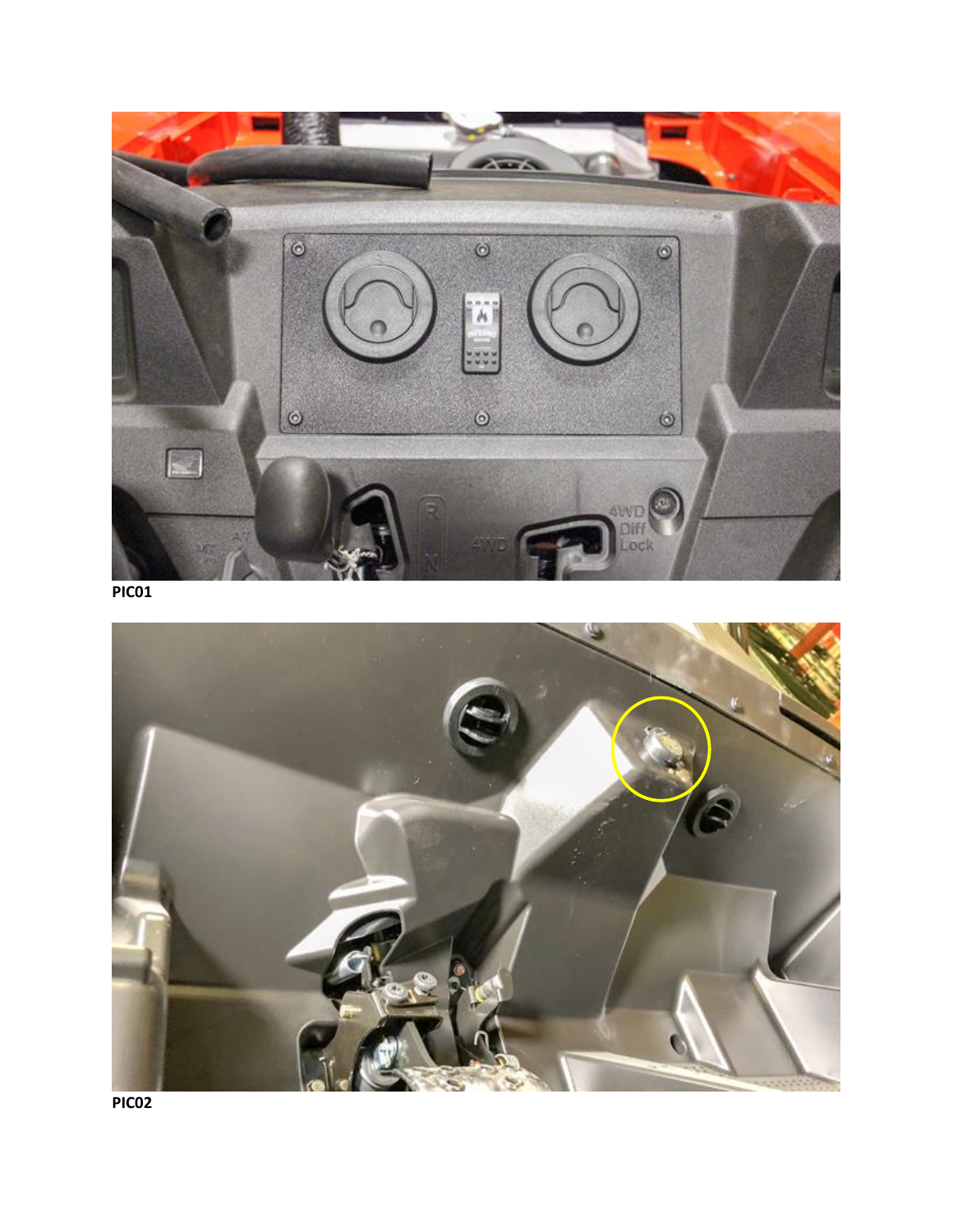

**PIC01**



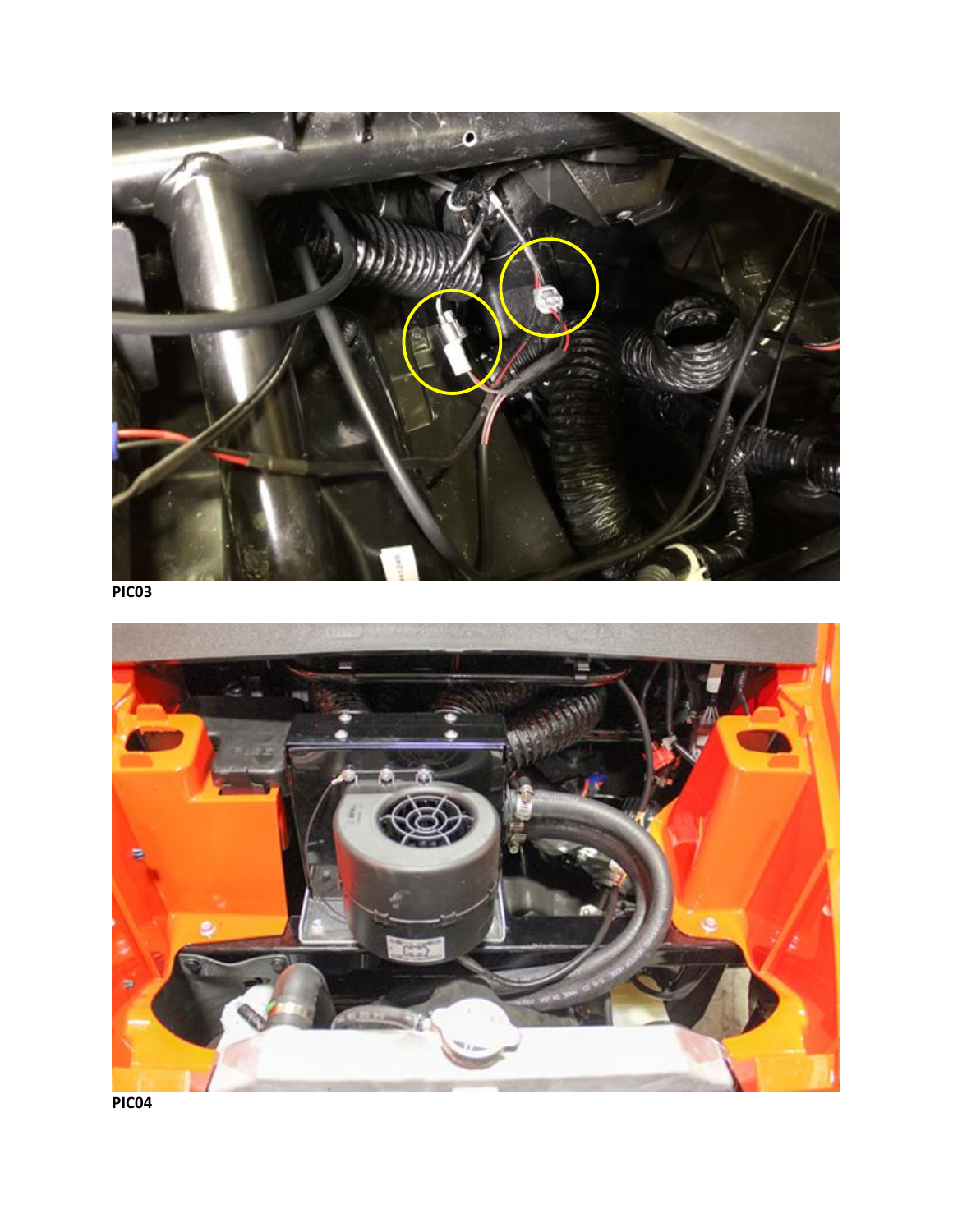

**PIC03**



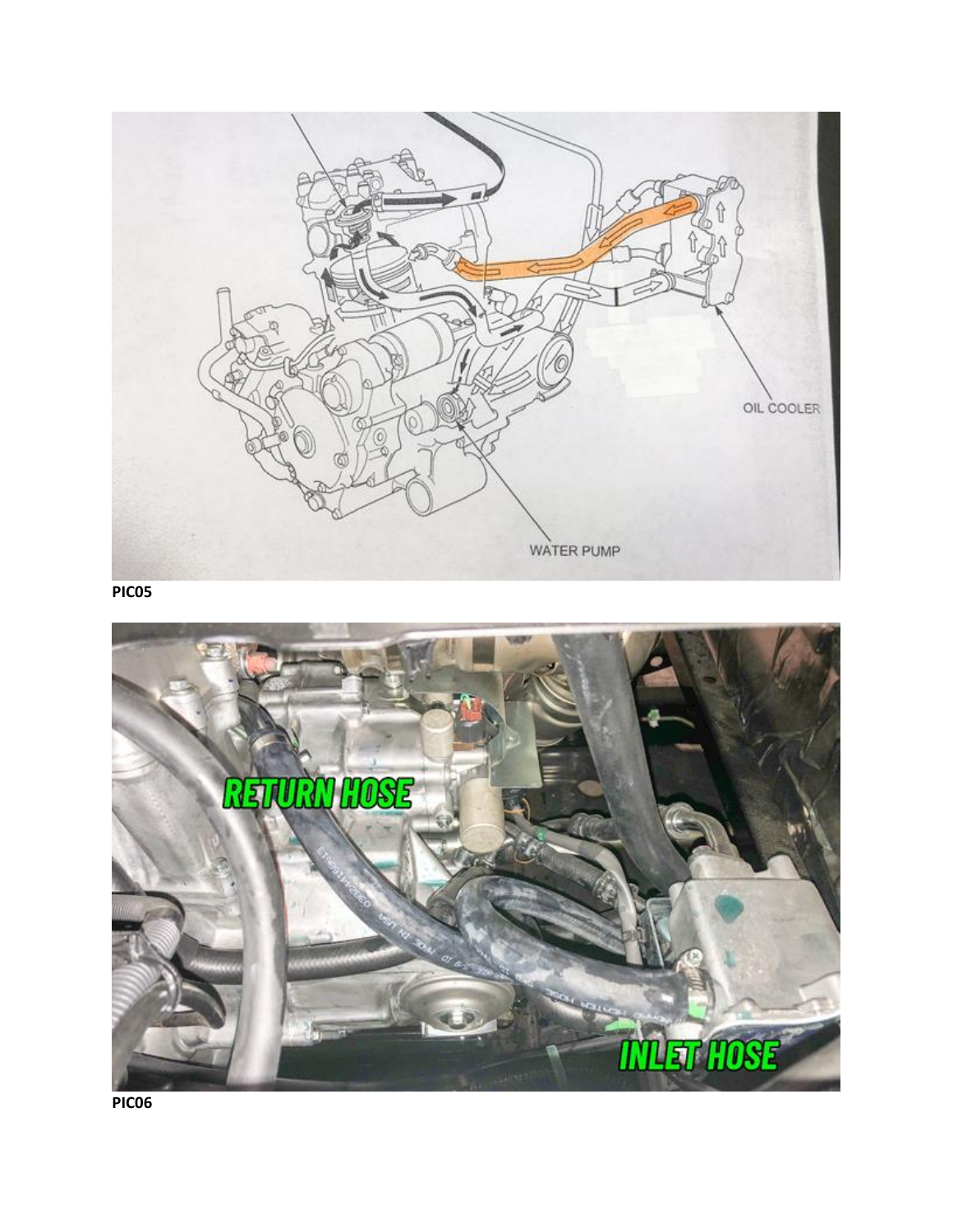

**PIC05**